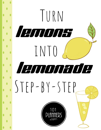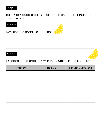### Step 1

Take 3 to 5 deep breaths. Make each one deeper than the previous one.

## Step 2

Describe the negative situation.





List each of the problems with the situation in the first column.

| Problem | Is this true? | Is there a solution? |
|---------|---------------|----------------------|
|         |               |                      |
|         |               |                      |
|         |               |                      |
|         |               |                      |
|         |               |                      |
|         |               |                      |
|         |               |                      |
|         |               |                      |
|         |               |                      |
|         |               |                      |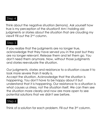## Step 4

Think about the negative situation (lemons). Ask yourself how true is my perception of the situation? Am I holding old judgments or stories about the situation that are clouding my view? Fill out the 2<sup>nd</sup> column.

#### Step 5

If you realize that the judgments are no longer true, acknowledge that they have served you in the past but they are no longer relevant. Release them and let them go. You don't need them anymore. Now, without those judgments and stories reevaluate the situation.

Our judgments, stories and resistance to a situation cause it to look more severe than it really is.

Accept the situation. Acknowledge that the situation is happening. You don't have to be happy about it but understand that it is happening. Our resistance to a situation is what causes us stress, not the situation itself. We can then see the situation more clearly and now are more open to see potential solutions that we didn't see before.

## Step 6

Think of a solution for each problem. Fill out the 3rd column.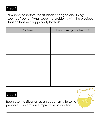

Think back to before the situation changed and things "seemed" better. What were the problems with the previous situation that was supposedly better?

| Problem | How could you solve this? |
|---------|---------------------------|
|         |                           |
|         |                           |
|         |                           |
|         |                           |
|         |                           |
|         |                           |
|         |                           |
|         |                           |
|         |                           |
|         |                           |

#### Step 8

Rephrase the situation as an opportunity to solve previous problems and improve your situation.

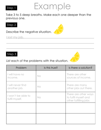#### Step 1

# Example

Take 3 to 5 deep breaths. Make each one deeper than the previous one.

## Step 2

Describe the negative situation.



### Step 3

#### List each of the problems with the situation.